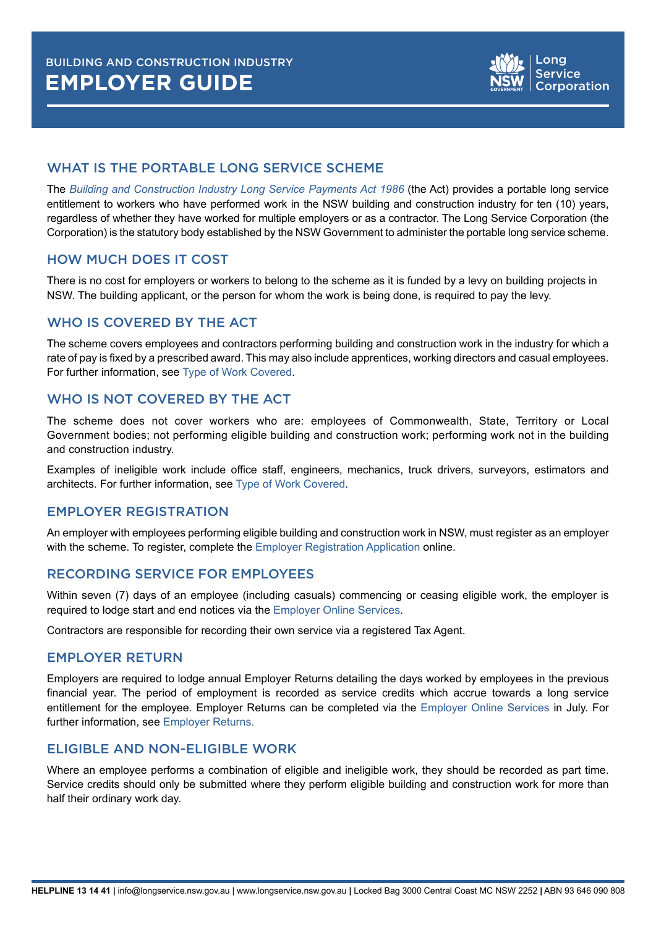## WHAT IS THE PORTABLE LONG SERVICE SCHEME

The *[Building and Construction Industry Long Service Payments Act 1986](https://www.legislation.nsw.gov.au/view/html/inforce/current/act-1986-019?query=((Repealed%3DN+AND+PrintType%3D%22act.reprint%22+AND+PitValid%3D%40pointInTime(20200901000000))+OR+(Repealed%3DN+AND+PrintType%3D%22reprint%22+AND+PitValid%3D%40pointInTime(20200901000000))+OR+(Repealed%3DN+AND+(PrintType%3D%22epi.reprint%22+OR+PrintType%3D%22epi.electronic%22)+AND+PitValid%3D%40pointInTime(20200901000000)))+AND+Content%3D(%22building%22+AND+%22and%22+AND+%22construction%22)&dQuery=Document+Types%3D%22%3Cspan+class%3D%27dq-highlight%27%3EActs%3C%2Fspan%3E%2C+%3Cspan+class%3D%27dq-highlight%27%3ERegulations%3C%2Fspan%3E%2C+%3Cspan+class%3D%27dq-highlight%27%3EEPIs%3C%2Fspan%3E%22%2C+Search+In%3D%22%3Cspan+class%3D%27dq-highlight%27%3EAll+Content%3C%2Fspan%3E%22%2C+All+Words%3D%22%3Cspan+class%3D%27dq-highlight%27%3Ebuilding+and+construction+%3C%2Fspan%3E%22%2C+Point+In+Time%3D%22%3Cspan+class%3D%27dq-highlight%27%3E01%2F09%2F2020%3C%2Fspan%3E%22)* (the Act) provides a portable long service entitlement to workers who have performed work in the NSW building and construction industry for ten (10) years, regardless of whether they have worked for multiple employers or as a contractor. The Long Service Corporation (the Corporation) is the statutory body established by the NSW Government to administer the portable long service scheme.

### HOW MUCH DOES IT COST

There is no cost for employers or workers to belong to the scheme as it is funded by a levy on building projects in NSW. The building applicant, or the person for whom the work is being done, is required to pay the levy.

## WHO IS COVERED BY THE ACT

The scheme covers employees and contractors performing building and construction work in the industry for which a rate of pay is fixed by a prescribed award. This may also include apprentices, working directors and casual employees. For further information, see [Type of Work Covered](https://www.longservice.nsw.gov.au/bci/employers/overview/type-of-work-covered).

### WHO IS NOT COVERED BY THE ACT

The scheme does not cover workers who are: employees of Commonwealth, State, Territory or Local Government bodies; not performing eligible building and construction work; performing work not in the building and construction industry.

Examples of ineligible work include office staff, engineers, mechanics, truck drivers, surveyors, estimators and architects. For further information, see [Type of Work Covered](https://www.longservice.nsw.gov.au/bci/employers/overview/type-of-work-covered).

#### EMPLOYER REGISTRATION

An employer with employees performing eligible building and construction work in NSW, must register as an employer with the scheme. To register, complete the [Employer Registration Application](https://portal.longservice.nsw.gov.au/bci/employer/Employer/Register?) online.

#### RECORDING SERVICE FOR EMPLOYEES

Within seven (7) days of an employee (including casuals) commencing or ceasing eligible work, the employer is required to lodge start and end notices via the Employer O[nline Services](https://www.longservice.nsw.gov.au/online-portal).

Contractors are responsible for recording their own service via a registered Tax Agent.

#### EMPLOYER RETURN

Employers are required to lodge annual Employer Returns detailing the days worked by employees in the previous financial year. The period of employment is recorded as service credits which accrue towards a long service entitlement for the employee. Employer Returns can be completed via the Employer O[nline Services](https://www.longservice.nsw.gov.au/online-portal) in July. For further information, see [Employer Returns.](https://www.longservice.nsw.gov.au/bci/employers/employer-returns)

#### ELIGIBLE AND NON-ELIGIBLE WORK

Where an employee performs a combination of eligible and ineligible work, they should be recorded as part time. Service credits should only be submitted where they perform eligible building and construction work for more than half their ordinary work day.